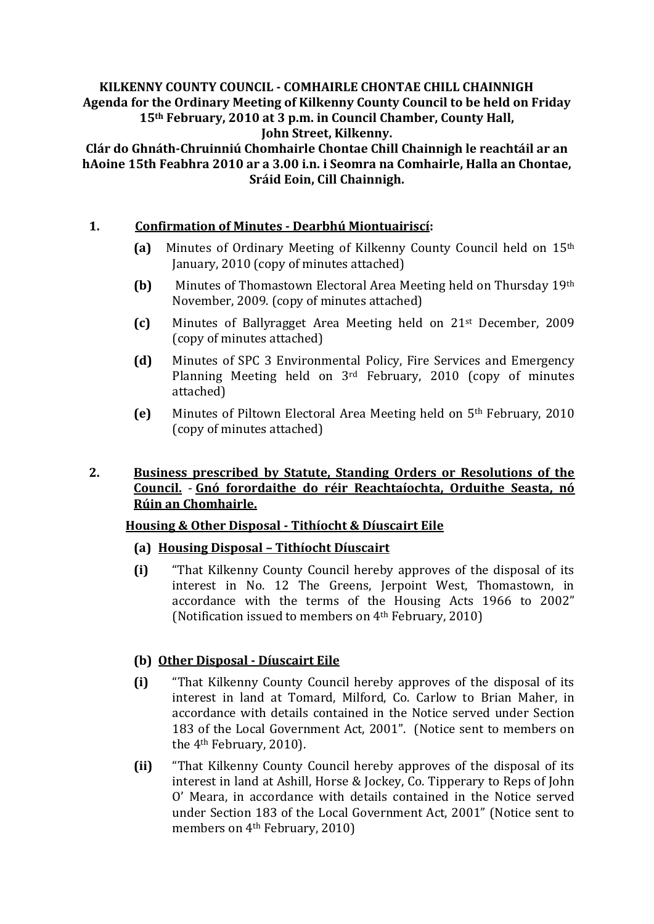#### **KILKENNY COUNTY COUNCIL - COMHAIRLE CHONTAE CHILL CHAINNIGH Agenda for the Ordinary Meeting of Kilkenny County Council to be held on Friday 15th February, 2010 at 3 p.m. in Council Chamber, County Hall, John Street, Kilkenny.**

**Clár do Ghnáth-Chruinniú Chomhairle Chontae Chill Chainnigh le reachtáil ar an hAoine 15th Feabhra 2010 ar a 3.00 i.n. i Seomra na Comhairle, Halla an Chontae, Sráid Eoin, Cill Chainnigh.**

## **1. Confirmation of Minutes - Dearbhú Miontuairiscí:**

- **(a)** Minutes of Ordinary Meeting of Kilkenny County Council held on 15th January, 2010 (copy of minutes attached)
- **(b)** Minutes of Thomastown Electoral Area Meeting held on Thursday 19th November, 2009. (copy of minutes attached)
- **(c)** Minutes of Ballyragget Area Meeting held on 21st December, 2009 (copy of minutes attached)
- **(d)** Minutes of SPC 3 Environmental Policy, Fire Services and Emergency Planning Meeting held on 3rd February, 2010 (copy of minutes attached)
- **(e)** Minutes of Piltown Electoral Area Meeting held on 5th February, 2010 (copy of minutes attached)

## **2. Business prescribed by Statute, Standing Orders or Resolutions of the Council.** - **Gnó forordaithe do réir Reachtaíochta, Orduithe Seasta, nó Rúin an Chomhairle.**

# **Housing & Other Disposal - Tithíocht & Díuscairt Eile**

### **(a) Housing Disposal – Tithíocht Díuscairt**

**(i)** "That Kilkenny County Council hereby approves of the disposal of its interest in No. 12 The Greens, Jerpoint West, Thomastown, in accordance with the terms of the Housing Acts 1966 to 2002" (Notification issued to members on 4th February, 2010)

# **(b) Other Disposal - Díuscairt Eile**

- **(i)** "That Kilkenny County Council hereby approves of the disposal of its interest in land at Tomard, Milford, Co. Carlow to Brian Maher, in accordance with details contained in the Notice served under Section 183 of the Local Government Act, 2001". (Notice sent to members on the 4th February, 2010).
- **(ii)** "That Kilkenny County Council hereby approves of the disposal of its interest in land at Ashill, Horse & Jockey, Co. Tipperary to Reps of John O' Meara, in accordance with details contained in the Notice served under Section 183 of the Local Government Act, 2001" (Notice sent to members on 4th February, 2010)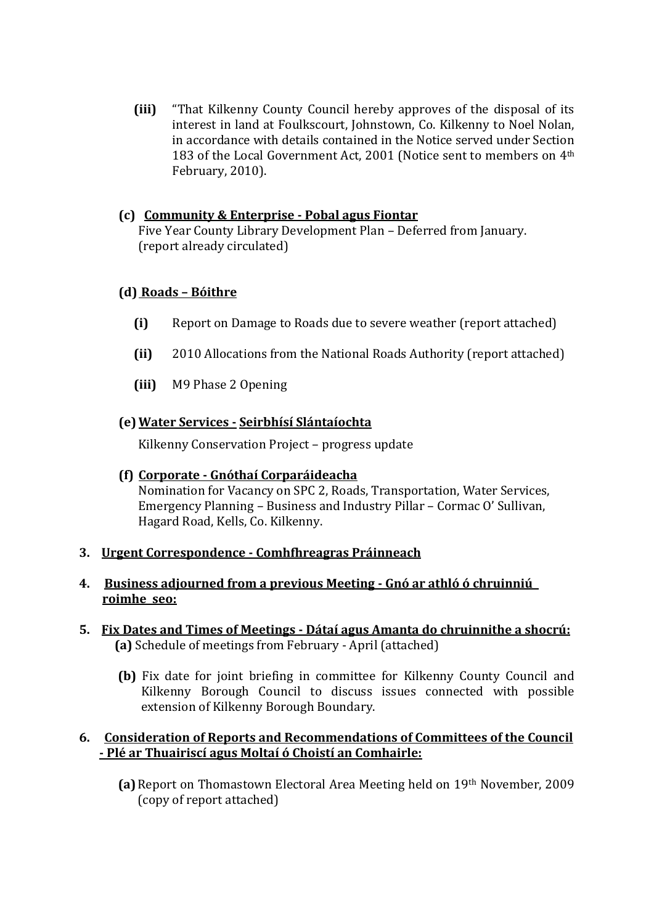**(iii)** "That Kilkenny County Council hereby approves of the disposal of its interest in land at Foulkscourt, Johnstown, Co. Kilkenny to Noel Nolan, in accordance with details contained in the Notice served under Section 183 of the Local Government Act, 2001 (Notice sent to members on 4<sup>th</sup> February, 2010).

## **(c) Community & Enterprise - Pobal agus Fiontar**

Five Year County Library Development Plan – Deferred from January. (report already circulated)

## **(d) Roads – Bóithre**

- **(i)** Report on Damage to Roads due to severe weather (report attached)
- **(ii)** 2010 Allocations from the National Roads Authority (report attached)
- **(iii)** M9 Phase 2 Opening

### **(e)Water Services - Seirbhísí Slántaíochta**

Kilkenny Conservation Project – progress update

### **(f) Corporate - Gnóthaí Corparáideacha**

Nomination for Vacancy on SPC 2, Roads, Transportation, Water Services, Emergency Planning – Business and Industry Pillar – Cormac O' Sullivan, Hagard Road, Kells, Co. Kilkenny.

### **3. Urgent Correspondence - Comhfhreagras Práinneach**

### **4. Business adjourned from a previous Meeting - Gnó ar athló ó chruinniú roimhe seo:**

- **5. Fix Dates and Times of Meetings - Dátaí agus Amanta do chruinnithe a shocrú: (a)** Schedule of meetings from February - April (attached)
	- **(b)** Fix date for joint briefing in committee for Kilkenny County Council and Kilkenny Borough Council to discuss issues connected with possible extension of Kilkenny Borough Boundary.

### **6. Consideration of Reports and Recommendations of Committees of the Council - Plé ar Thuairiscí agus Moltaí ó Choistí an Comhairle:**

**(a)**Report on Thomastown Electoral Area Meeting held on 19th November, 2009 (copy of report attached)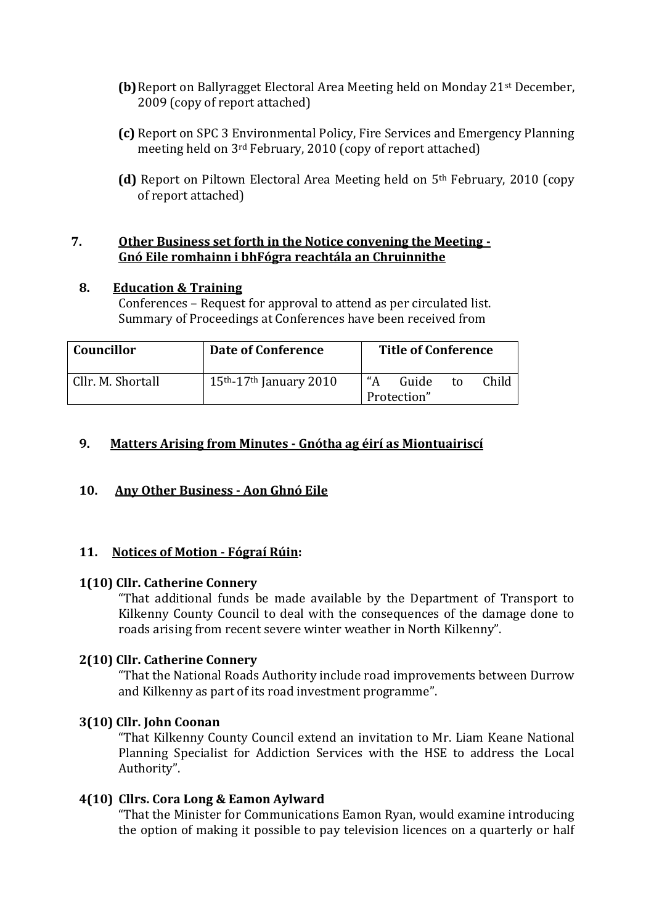- **(b)**Report on Ballyragget Electoral Area Meeting held on Monday 21st December, 2009 (copy of report attached)
- **(c)** Report on SPC 3 Environmental Policy, Fire Services and Emergency Planning meeting held on 3rd February, 2010 (copy of report attached)
- **(d)** Report on Piltown Electoral Area Meeting held on 5th February, 2010 (copy of report attached)

#### **7. Other Business set forth in the Notice convening the Meeting - Gnó Eile romhainn i bhFógra reachtála an Chruinnithe**

### **8. Education & Training**

Conferences – Request for approval to attend as per circulated list. Summary of Proceedings at Conferences have been received from

| ' Councillor      | Date of Conference                    | <b>Title of Conference</b>                 |
|-------------------|---------------------------------------|--------------------------------------------|
| Cllr. M. Shortall | $15th$ -17 <sup>th</sup> January 2010 | "А<br>Child<br>Guide<br>to.<br>Protection" |

# **9. Matters Arising from Minutes - Gnótha ag éirí as Miontuairiscí**

### **10. Any Other Business - Aon Ghnó Eile**

### **11. Notices of Motion - Fógraí Rúin:**

### **1(10) Cllr. Catherine Connery**

"That additional funds be made available by the Department of Transport to Kilkenny County Council to deal with the consequences of the damage done to roads arising from recent severe winter weather in North Kilkenny".

### **2(10) Cllr. Catherine Connery**

"That the National Roads Authority include road improvements between Durrow and Kilkenny as part of its road investment programme".

## **3(10) Cllr. John Coonan**

"That Kilkenny County Council extend an invitation to Mr. Liam Keane National Planning Specialist for Addiction Services with the HSE to address the Local Authority".

### **4(10) Cllrs. Cora Long & Eamon Aylward**

"That the Minister for Communications Eamon Ryan, would examine introducing the option of making it possible to pay television licences on a quarterly or half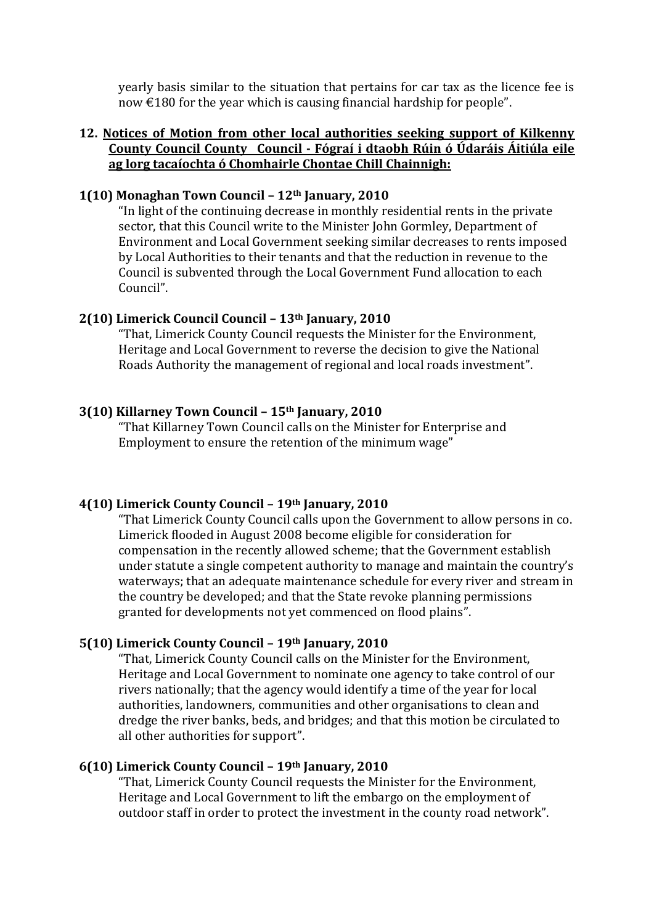yearly basis similar to the situation that pertains for car tax as the licence fee is now €180 for the year which is causing financial hardship for people".

#### **12. Notices of Motion from other local authorities seeking support of Kilkenny County Council County Council - Fógraí i dtaobh Rúin ó Údaráis Áitiúla eile ag lorg tacaíochta ó Chomhairle Chontae Chill Chainnigh:**

#### **1(10) Monaghan Town Council – 12th January, 2010**

"In light of the continuing decrease in monthly residential rents in the private sector, that this Council write to the Minister John Gormley, Department of Environment and Local Government seeking similar decreases to rents imposed by Local Authorities to their tenants and that the reduction in revenue to the Council is subvented through the Local Government Fund allocation to each Council".

#### **2(10) Limerick Council Council – 13th January, 2010**

"That, Limerick County Council requests the Minister for the Environment, Heritage and Local Government to reverse the decision to give the National Roads Authority the management of regional and local roads investment".

#### **3(10) Killarney Town Council – 15th January, 2010**

"That Killarney Town Council calls on the Minister for Enterprise and Employment to ensure the retention of the minimum wage"

#### **4(10) Limerick County Council – 19th January, 2010**

"That Limerick County Council calls upon the Government to allow persons in co. Limerick flooded in August 2008 become eligible for consideration for compensation in the recently allowed scheme; that the Government establish under statute a single competent authority to manage and maintain the country's waterways; that an adequate maintenance schedule for every river and stream in the country be developed; and that the State revoke planning permissions granted for developments not yet commenced on flood plains".

### **5(10) Limerick County Council – 19th January, 2010**

"That, Limerick County Council calls on the Minister for the Environment, Heritage and Local Government to nominate one agency to take control of our rivers nationally; that the agency would identify a time of the year for local authorities, landowners, communities and other organisations to clean and dredge the river banks, beds, and bridges; and that this motion be circulated to all other authorities for support".

# **6(10) Limerick County Council – 19th January, 2010**

"That, Limerick County Council requests the Minister for the Environment, Heritage and Local Government to lift the embargo on the employment of outdoor staff in order to protect the investment in the county road network".